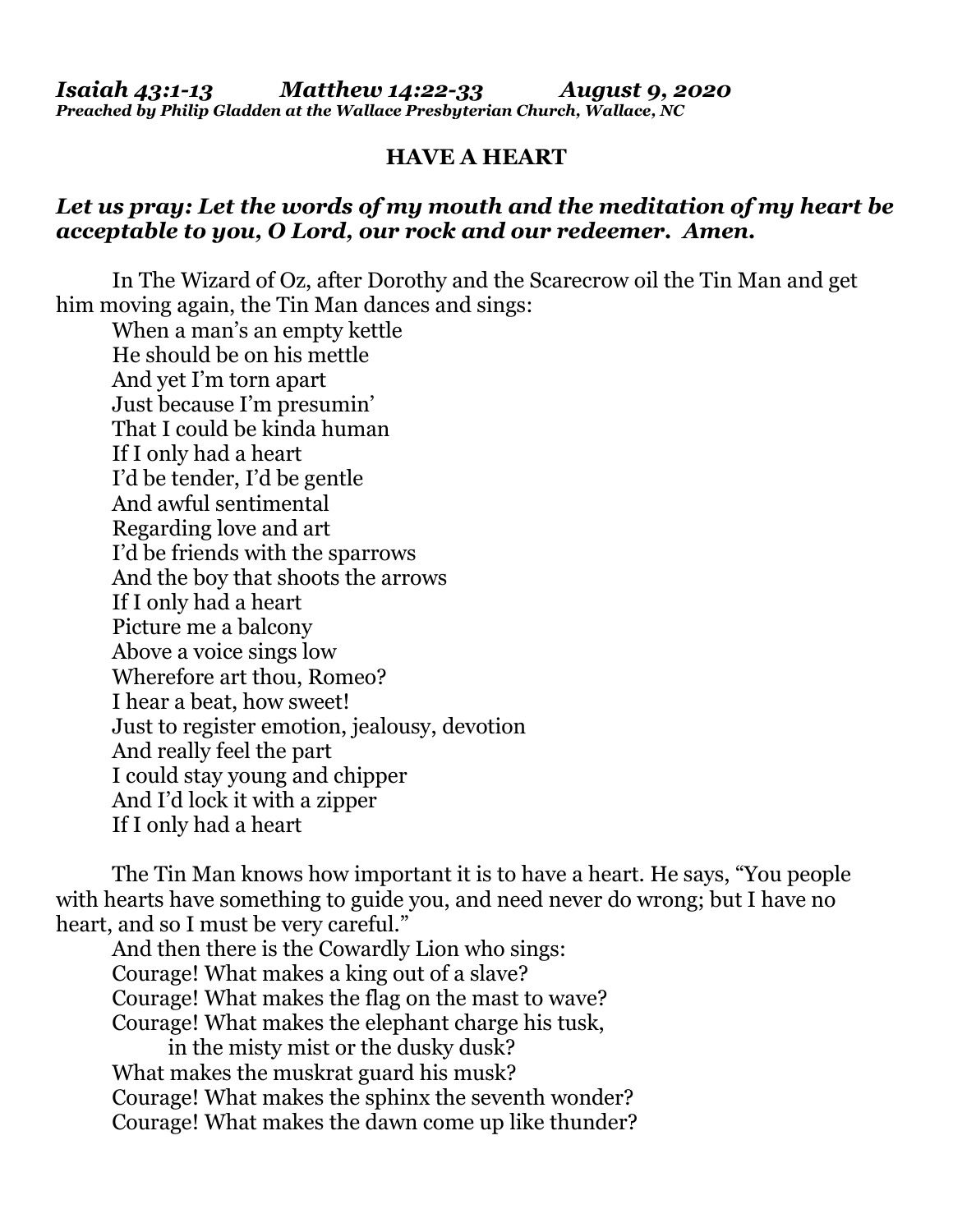## **HAVE A HEART**

## *Let us pray: Let the words of my mouth and the meditation of my heart be acceptable to you, O Lord, our rock and our redeemer. Amen.*

In The Wizard of Oz, after Dorothy and the Scarecrow oil the Tin Man and get him moving again, the Tin Man dances and sings:

When a man's an empty kettle He should be on his mettle And yet I'm torn apart Just because I'm presumin' That I could be kinda human If I only had a heart I'd be tender, I'd be gentle And awful sentimental Regarding love and art I'd be friends with the sparrows And the boy that shoots the arrows If I only had a heart Picture me a balcony Above a voice sings low Wherefore art thou, Romeo? I hear a beat, how sweet! Just to register emotion, jealousy, devotion And really feel the part I could stay young and chipper And I'd lock it with a zipper If I only had a heart

The Tin Man knows how important it is to have a heart. He says, "You people with hearts have something to guide you, and need never do wrong; but I have no heart, and so I must be very careful."

And then there is the Cowardly Lion who sings: Courage! What makes a king out of a slave? Courage! What makes the flag on the mast to wave? Courage! What makes the elephant charge his tusk, in the misty mist or the dusky dusk? What makes the muskrat guard his musk? Courage! What makes the sphinx the seventh wonder? Courage! What makes the dawn come up like thunder?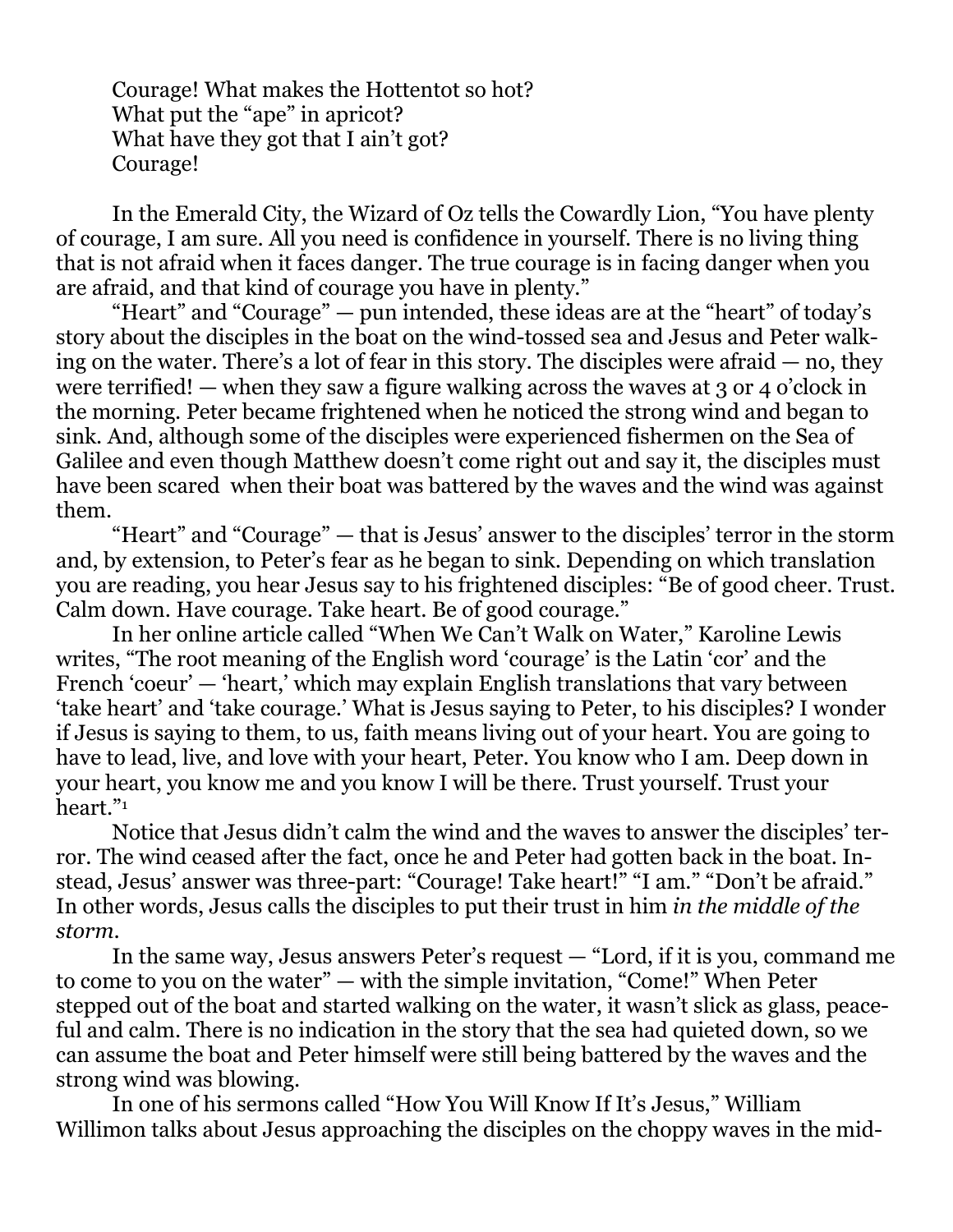Courage! What makes the Hottentot so hot? What put the "ape" in apricot? What have they got that I ain't got? Courage!

In the Emerald City, the Wizard of Oz tells the Cowardly Lion, "You have plenty of courage, I am sure. All you need is confidence in yourself. There is no living thing that is not afraid when it faces danger. The true courage is in facing danger when you are afraid, and that kind of courage you have in plenty."

"Heart" and "Courage" — pun intended, these ideas are at the "heart" of today's story about the disciples in the boat on the wind-tossed sea and Jesus and Peter walking on the water. There's a lot of fear in this story. The disciples were afraid — no, they were terrified! — when they saw a figure walking across the waves at 3 or 4 o'clock in the morning. Peter became frightened when he noticed the strong wind and began to sink. And, although some of the disciples were experienced fishermen on the Sea of Galilee and even though Matthew doesn't come right out and say it, the disciples must have been scared when their boat was battered by the waves and the wind was against them.

"Heart" and "Courage" — that is Jesus' answer to the disciples' terror in the storm and, by extension, to Peter's fear as he began to sink. Depending on which translation you are reading, you hear Jesus say to his frightened disciples: "Be of good cheer. Trust. Calm down. Have courage. Take heart. Be of good courage."

In her online article called "When We Can't Walk on Water," Karoline Lewis writes, "The root meaning of the English word 'courage' is the Latin 'cor' and the French 'coeur' — 'heart,' which may explain English translations that vary between 'take heart' and 'take courage.' What is Jesus saying to Peter, to his disciples? I wonder if Jesus is saying to them, to us, faith means living out of your heart. You are going to have to lead, live, and love with your heart, Peter. You know who I am. Deep down in your heart, you know me and you know I will be there. Trust yourself. Trust your heart."<sup>1</sup>

Notice that Jesus didn't calm the wind and the waves to answer the disciples' terror. The wind ceased after the fact, once he and Peter had gotten back in the boat. Instead, Jesus' answer was three-part: "Courage! Take heart!" "I am." "Don't be afraid." In other words, Jesus calls the disciples to put their trust in him *in the middle of the storm*.

In the same way, Jesus answers Peter's request — "Lord, if it is you, command me to come to you on the water" — with the simple invitation, "Come!" When Peter stepped out of the boat and started walking on the water, it wasn't slick as glass, peaceful and calm. There is no indication in the story that the sea had quieted down, so we can assume the boat and Peter himself were still being battered by the waves and the strong wind was blowing.

In one of his sermons called "How You Will Know If It's Jesus," William Willimon talks about Jesus approaching the disciples on the choppy waves in the mid-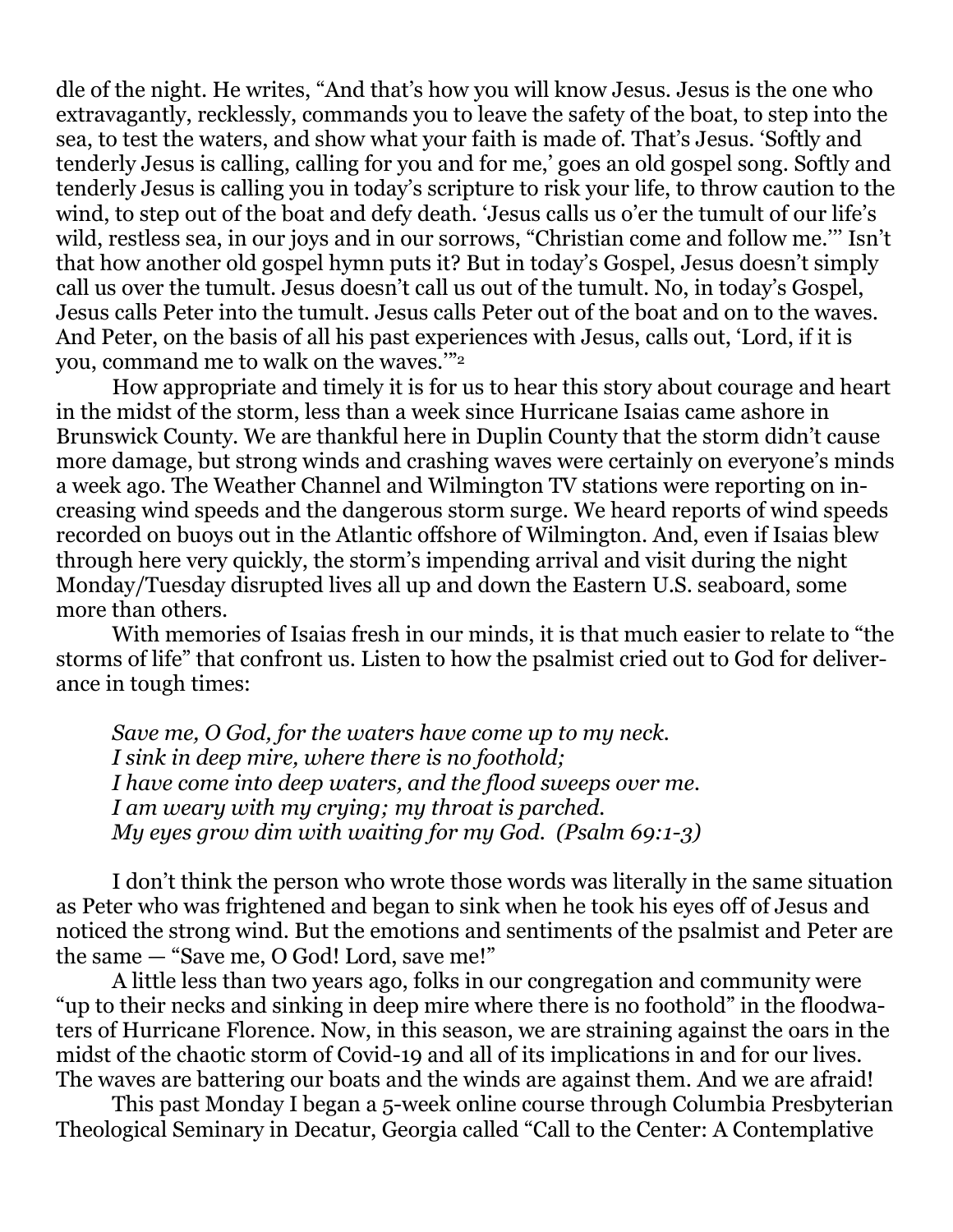dle of the night. He writes, "And that's how you will know Jesus. Jesus is the one who extravagantly, recklessly, commands you to leave the safety of the boat, to step into the sea, to test the waters, and show what your faith is made of. That's Jesus. 'Softly and tenderly Jesus is calling, calling for you and for me,' goes an old gospel song. Softly and tenderly Jesus is calling you in today's scripture to risk your life, to throw caution to the wind, to step out of the boat and defy death. 'Jesus calls us o'er the tumult of our life's wild, restless sea, in our joys and in our sorrows, "Christian come and follow me.''' Isn't that how another old gospel hymn puts it? But in today's Gospel, Jesus doesn't simply call us over the tumult. Jesus doesn't call us out of the tumult. No, in today's Gospel, Jesus calls Peter into the tumult. Jesus calls Peter out of the boat and on to the waves. And Peter, on the basis of all his past experiences with Jesus, calls out, 'Lord, if it is you, command me to walk on the waves."<sup>2</sup>

How appropriate and timely it is for us to hear this story about courage and heart in the midst of the storm, less than a week since Hurricane Isaias came ashore in Brunswick County. We are thankful here in Duplin County that the storm didn't cause more damage, but strong winds and crashing waves were certainly on everyone's minds a week ago. The Weather Channel and Wilmington TV stations were reporting on increasing wind speeds and the dangerous storm surge. We heard reports of wind speeds recorded on buoys out in the Atlantic offshore of Wilmington. And, even if Isaias blew through here very quickly, the storm's impending arrival and visit during the night Monday/Tuesday disrupted lives all up and down the Eastern U.S. seaboard, some more than others.

With memories of Isaias fresh in our minds, it is that much easier to relate to "the storms of life" that confront us. Listen to how the psalmist cried out to God for deliverance in tough times:

*Save me, O God, for the waters have come up to my neck. I sink in deep mire, where there is no foothold; I have come into deep waters, and the flood sweeps over me. I am weary with my crying; my throat is parched. My eyes grow dim with waiting for my God. (Psalm 69:1-3)*

I don't think the person who wrote those words was literally in the same situation as Peter who was frightened and began to sink when he took his eyes off of Jesus and noticed the strong wind. But the emotions and sentiments of the psalmist and Peter are the same — "Save me, O God! Lord, save me!"

A little less than two years ago, folks in our congregation and community were "up to their necks and sinking in deep mire where there is no foothold" in the floodwaters of Hurricane Florence. Now, in this season, we are straining against the oars in the midst of the chaotic storm of Covid-19 and all of its implications in and for our lives. The waves are battering our boats and the winds are against them. And we are afraid!

This past Monday I began a 5-week online course through Columbia Presbyterian Theological Seminary in Decatur, Georgia called "Call to the Center: A Contemplative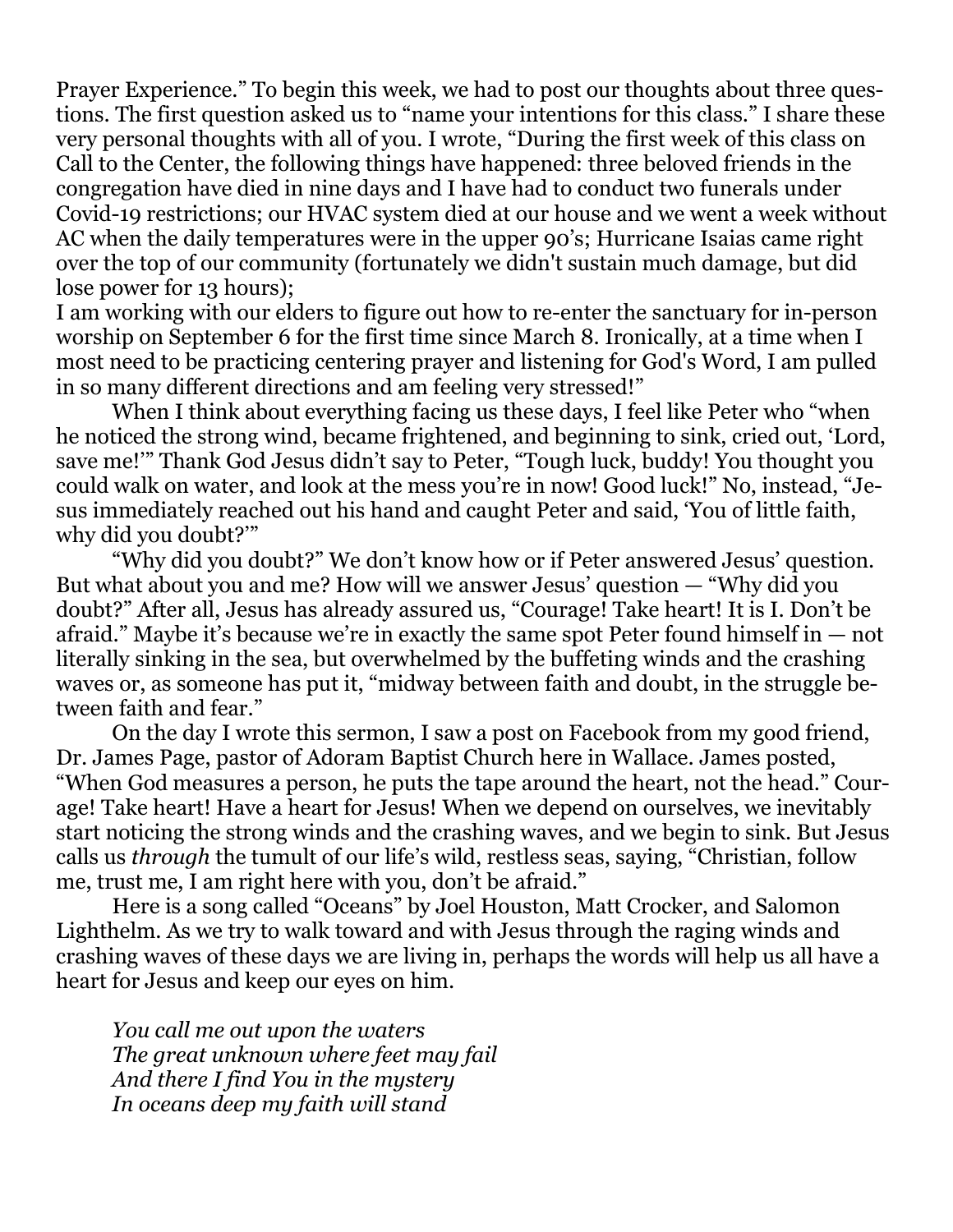Prayer Experience." To begin this week, we had to post our thoughts about three questions. The first question asked us to "name your intentions for this class." I share these very personal thoughts with all of you. I wrote, "During the first week of this class on Call to the Center, the following things have happened: three beloved friends in the congregation have died in nine days and I have had to conduct two funerals under Covid-19 restrictions; our HVAC system died at our house and we went a week without AC when the daily temperatures were in the upper 90's; Hurricane Isaias came right over the top of our community (fortunately we didn't sustain much damage, but did lose power for 13 hours);

I am working with our elders to figure out how to re-enter the sanctuary for in-person worship on September 6 for the first time since March 8. Ironically, at a time when I most need to be practicing centering prayer and listening for God's Word, I am pulled in so many different directions and am feeling very stressed!"

When I think about everything facing us these days, I feel like Peter who "when he noticed the strong wind, became frightened, and beginning to sink, cried out, 'Lord, save me!'" Thank God Jesus didn't say to Peter, "Tough luck, buddy! You thought you could walk on water, and look at the mess you're in now! Good luck!" No, instead, "Jesus immediately reached out his hand and caught Peter and said, 'You of little faith, why did you doubt?'"

"Why did you doubt?" We don't know how or if Peter answered Jesus' question. But what about you and me? How will we answer Jesus' question — "Why did you doubt?" After all, Jesus has already assured us, "Courage! Take heart! It is I. Don't be afraid." Maybe it's because we're in exactly the same spot Peter found himself in — not literally sinking in the sea, but overwhelmed by the buffeting winds and the crashing waves or, as someone has put it, "midway between faith and doubt, in the struggle between faith and fear."

On the day I wrote this sermon, I saw a post on Facebook from my good friend, Dr. James Page, pastor of Adoram Baptist Church here in Wallace. James posted, "When God measures a person, he puts the tape around the heart, not the head." Courage! Take heart! Have a heart for Jesus! When we depend on ourselves, we inevitably start noticing the strong winds and the crashing waves, and we begin to sink. But Jesus calls us *through* the tumult of our life's wild, restless seas, saying, "Christian, follow me, trust me, I am right here with you, don't be afraid."

Here is a song called "Oceans" by Joel Houston, Matt Crocker, and Salomon Lighthelm. As we try to walk toward and with Jesus through the raging winds and crashing waves of these days we are living in, perhaps the words will help us all have a heart for Jesus and keep our eyes on him.

*You call me out upon the waters The great unknown where feet may fail And there I find You in the mystery In oceans deep my faith will stand*